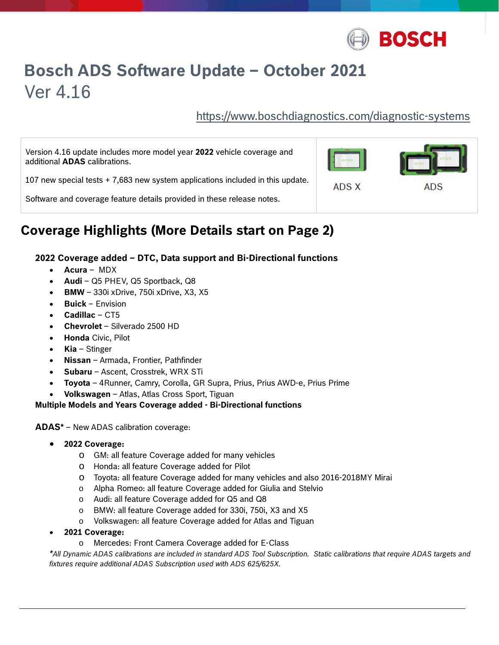

# **Bosch ADS Software Update – October 2021**  Ver 4.16

https://www.boschdiagnostics.com/diagnostic-systems

Version 4.16 update includes more model year **2022** vehicle coverage and additional **ADAS** calibrations.

107 new special tests + 7,683 new system applications included in this update.

Software and coverage feature details provided in these release notes.

## **Coverage Highlights (More Details start on Page 2)**

#### **2022 Coverage added – DTC, Data support and Bi-Directional functions**

- **Acura**  MDX
- **Audi**  Q5 PHEV, Q5 Sportback, Q8
- **BMW**  330i xDrive, 750i xDrive, X3, X5
- **Buick**  Envision
- **Cadillac**  CT5
- **Chevrolet**  Silverado 2500 HD
- **Honda** Civic, Pilot
- **Kia**  Stinger
- **Nissan**  Armada, Frontier, Pathfinder
- **Subaru**  Ascent, Crosstrek, WRX STi
- **Toyota**  4Runner, Camry, Corolla, GR Supra, Prius, Prius AWD-e, Prius Prime
- **Volkswagen**  Atlas, Atlas Cross Sport, Tiguan

#### **Multiple Models and Years Coverage added - Bi-Directional functions**

**ADAS\*** – New ADAS calibration coverage:

- **2022 Coverage:**
	- o GM: all feature Coverage added for many vehicles
	- o Honda: all feature Coverage added for Pilot
	- o Toyota: all feature Coverage added for many vehicles and also 2016-2018MY Mirai
	- o Alpha Romeo: all feature Coverage added for Giulia and Stelvio
	- o Audi: all feature Coverage added for Q5 and Q8
	- o BMW: all feature Coverage added for 330i, 750i, X3 and X5
	- o Volkswagen: all feature Coverage added for Atlas and Tiguan
- **2021 Coverage:** 
	- o Mercedes: Front Camera Coverage added for E-Class

*\*All Dynamic ADAS calibrations are included in standard ADS Tool Subscription. Static calibrations that require ADAS targets and fixtures require additional ADAS Subscription used with ADS 625/625X.* 



**ADS X** 

ADS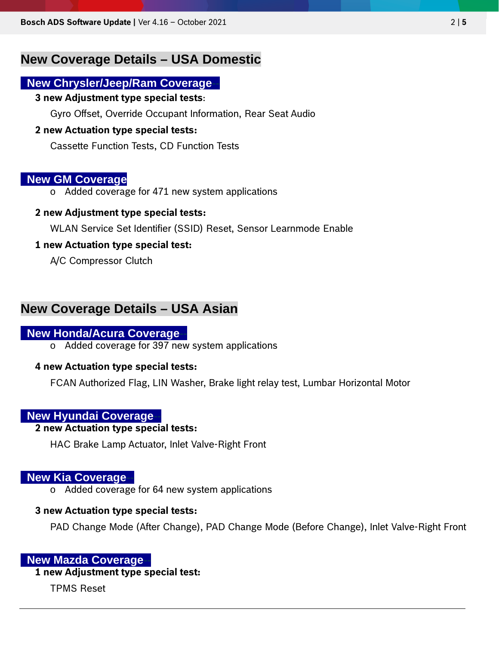## **New Coverage Details – USA Domestic**

### **New Chrysler/Jeep/Ram Coverage-**

#### **3 new Adjustment type special tests**:

Gyro Offset, Override Occupant Information, Rear Seat Audio

#### **2 new Actuation type special tests:**

Cassette Function Tests, CD Function Tests

#### **New GM Coverage**

o Added coverage for 471 new system applications

#### **2 new Adjustment type special tests:**

WLAN Service Set Identifier (SSID) Reset, Sensor Learnmode Enable

#### **1 new Actuation type special test:**

A/C Compressor Clutch

## **New Coverage Details – USA Asian**

#### **New Honda/Acura Coverage--**

o Added coverage for 397 new system applications

#### **4 new Actuation type special tests:**

FCAN Authorized Flag, LIN Washer, Brake light relay test, Lumbar Horizontal Motor

#### **New Hyundai Coverage-**

#### **2 new Actuation type special tests:**

HAC Brake Lamp Actuator, Inlet Valve-Right Front

#### **New Kia Coverage-**

o Added coverage for 64 new system applications

#### **3 new Actuation type special tests:**

PAD Change Mode (After Change), PAD Change Mode (Before Change), Inlet Valve-Right Front

#### **New Mazda Coverage-**

#### **1 new Adjustment type special test:**

TPMS Reset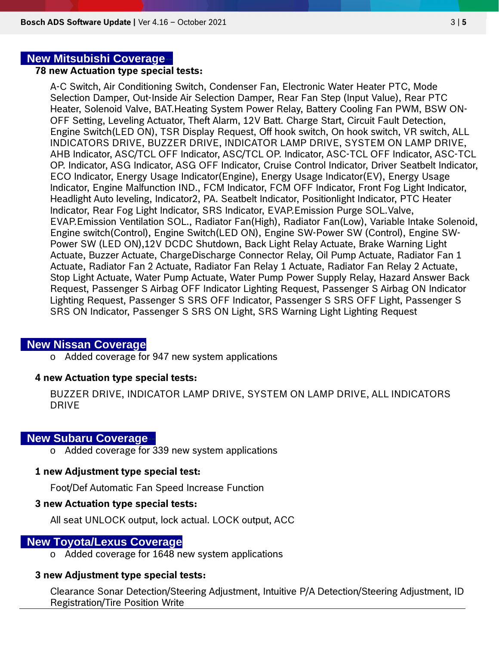#### **New Mitsubishi Coverage-**

#### **78 new Actuation type special tests:**

A-C Switch, Air Conditioning Switch, Condenser Fan, Electronic Water Heater PTC, Mode Selection Damper, Out-Inside Air Selection Damper, Rear Fan Step (Input Value), Rear PTC Heater, Solenoid Valve, BAT.Heating System Power Relay, Battery Cooling Fan PWM, BSW ON-OFF Setting, Leveling Actuator, Theft Alarm, 12V Batt. Charge Start, Circuit Fault Detection, Engine Switch(LED ON), TSR Display Request, Off hook switch, On hook switch, VR switch, ALL INDICATORS DRIVE, BUZZER DRIVE, INDICATOR LAMP DRIVE, SYSTEM ON LAMP DRIVE, AHB Indicator, ASC/TCL OFF Indicator, ASC/TCL OP. Indicator, ASC-TCL OFF Indicator, ASC-TCL OP. Indicator, ASG Indicator, ASG OFF Indicator, Cruise Control Indicator, Driver Seatbelt Indicator, ECO Indicator, Energy Usage Indicator(Engine), Energy Usage Indicator(EV), Energy Usage Indicator, Engine Malfunction IND., FCM Indicator, FCM OFF Indicator, Front Fog Light Indicator, Headlight Auto leveling, Indicator2, PA. Seatbelt Indicator, Positionlight Indicator, PTC Heater Indicator, Rear Fog Light Indicator, SRS Indicator, EVAP.Emission Purge SOL.Valve, EVAP.Emission Ventilation SOL., Radiator Fan(High), Radiator Fan(Low), Variable Intake Solenoid, Engine switch(Control), Engine Switch(LED ON), Engine SW-Power SW (Control), Engine SW-Power SW (LED ON),12V DCDC Shutdown, Back Light Relay Actuate, Brake Warning Light Actuate, Buzzer Actuate, ChargeDischarge Connector Relay, Oil Pump Actuate, Radiator Fan 1 Actuate, Radiator Fan 2 Actuate, Radiator Fan Relay 1 Actuate, Radiator Fan Relay 2 Actuate, Stop Light Actuate, Water Pump Actuate, Water Pump Power Supply Relay, Hazard Answer Back Request, Passenger S Airbag OFF Indicator Lighting Request, Passenger S Airbag ON Indicator Lighting Request, Passenger S SRS OFF Indicator, Passenger S SRS OFF Light, Passenger S SRS ON Indicator, Passenger S SRS ON Light, SRS Warning Light Lighting Request

#### **New Nissan Coverage**

o Added coverage for 947 new system applications

#### **4 new Actuation type special tests:**

BUZZER DRIVE, INDICATOR LAMP DRIVE, SYSTEM ON LAMP DRIVE, ALL INDICATORS DRIVE

#### **New Subaru Coverage-**

o Added coverage for 339 new system applications

#### **1 new Adjustment type special test:**

Foot/Def Automatic Fan Speed Increase Function

#### **3 new Actuation type special tests:**

All seat UNLOCK output, lock actual. LOCK output, ACC

#### **New Toyota/Lexus Coverage**

o Added coverage for 1648 new system applications

#### **3 new Adjustment type special tests:**

Clearance Sonar Detection/Steering Adjustment, Intuitive P/A Detection/Steering Adjustment, ID Registration/Tire Position Write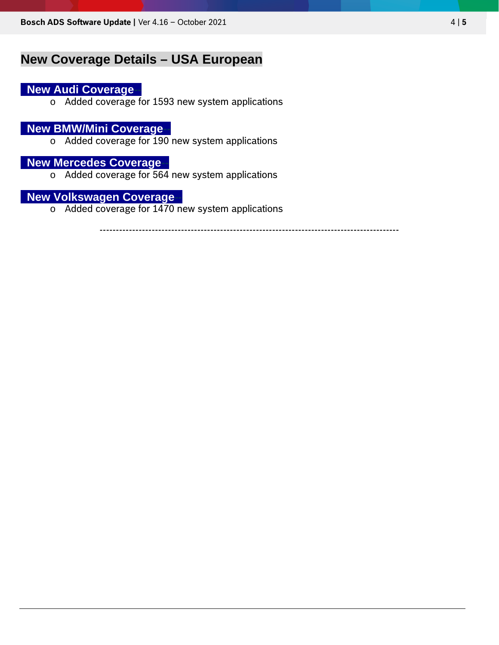## **New Coverage Details – USA European**

## **New Audi Coverage-**

o Added coverage for 1593 new system applications

### **New BMW/Mini Coverage-**

o Added coverage for 190 new system applications

## **New Mercedes Coverage**

o Added coverage for 564 new system applications

## **New Volkswagen Coverage-**

o Added coverage for 1470 new system applications

--------------------------------------------------------------------------------------------